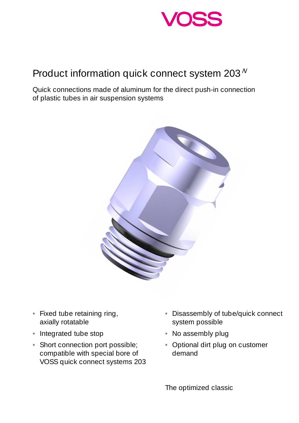

## Product information quick connect system  $203<sup>N</sup>$

Quick connections made of aluminum for the direct push-in connection of plastic tubes in air suspension systems



- Fixed tube retaining ring, axially rotatable
- Integrated tube stop
- Short connection port possible; compatible with special bore of VOSS quick connect systems 203
- Disassembly of tube/quick connect system possible
- No assembly plug
- Optional dirt plug on customer demand

The optimized classic